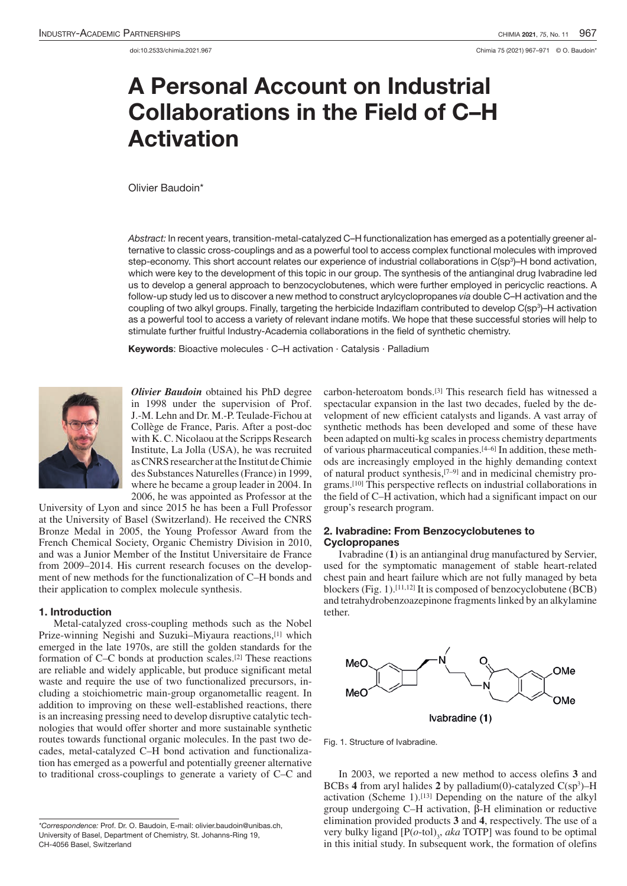doi:10.2533/chimia.2021.967 Chimia 75 (2021) 967–971 © O. Baudoin\*

# A Personal Account on Industrial Collaborations in the Field of C–H Activation

Olivier Baudoin\*

*Abstract:* In recent years, transition-metal-catalyzed C–H functionalization has emerged as a potentially greener alternative to classic cross-couplings and as a powerful tool to access complex functional molecules with improved step-economy. This short account relates our experience of industrial collaborations in C(sp3 )–H bond activation, which were key to the development of this topic in our group. The synthesis of the antianginal drug Ivabradine led us to develop a general approach to benzocyclobutenes, which were further employed in pericyclic reactions. A follow-up study led us to discover a new method to construct arylcyclopropanes *via* double C–H activation and the coupling of two alkyl groups. Finally, targeting the herbicide Indaziflam contributed to develop C(sp3)–H activation as a powerful tool to access a variety of relevant indane motifs. We hope that these successful stories will help to stimulate further fruitful Industry-Academia collaborations in the field of synthetic chemistry.

Keywords: Bioactive molecules · C–H activation · Catalysis · Palladium



*Olivier Baudoin* obtained his PhD degree in 1998 under the supervision of Prof. J.-M. Lehn and Dr. M.-P. Teulade-Fichou at Collège de France, Paris. After a post-doc with K. C. Nicolaou at the Scripps Research Institute, La Jolla (USA), he was recruited as CNRS researcher at the Institut de Chimie des Substances Naturelles (France) in 1999, where he became a group leader in 2004. In 2006, he was appointed as Professor at the

University of Lyon and since 2015 he has been a Full Professor at the University of Basel (Switzerland). He received the CNRS Bronze Medal in 2005, the Young Professor Award from the French Chemical Society, Organic Chemistry Division in 2010, and was a Junior Member of the Institut Universitaire de France from 2009–2014. His current research focuses on the development of new methods for the functionalization of C–H bonds and their application to complex molecule synthesis.

## 1. Introduction

Metal-catalyzed cross-coupling methods such as the Nobel Prize-winning Negishi and Suzuki-Miyaura reactions,<sup>[1]</sup> which emerged in the late 1970s, are still the golden standards for the formation of C–C bonds at production scales.[2] These reactions are reliable and widely applicable, but produce significant metal waste and require the use of two functionalized precursors, including a stoichiometric main-group organometallic reagent. In addition to improving on these well-established reactions, there is an increasing pressing need to develop disruptive catalytic technologies that would offer shorter and more sustainable synthetic routes towards functional organic molecules. In the past two decades, metal-catalyzed C–H bond activation and functionalization has emerged as a powerful and potentially greener alternative to traditional cross-couplings to generate a variety of C–C and

carbon-heteroatom bonds.[3] This research field has witnessed a spectacular expansion in the last two decades, fueled by the development of new efficient catalysts and ligands. A vast array of synthetic methods has been developed and some of these have been adapted on multi-kg scales in process chemistry departments of various pharmaceutical companies.[4–6] In addition, these methods are increasingly employed in the highly demanding context of natural product synthesis,[7–9] and in medicinal chemistry programs.[10] This perspective reflects on industrial collaborations in the field of C–H activation, which had a significant impact on our group's research program.

# 2. Ivabradine: From Benzocyclobutenes to **Cyclopropanes**

Ivabradine (**1**) is an antianginal drug manufactured by Servier, used for the symptomatic management of stable heart-related chest pain and heart failure which are not fully managed by beta blockers (Fig. 1).[11,12] It is composed of benzocyclobutene (BCB) and tetrahydrobenzoazepinone fragments linked by an alkylamine tether.



Fig. 1. Structure of Ivabradine.

In 2003, we reported a new method to access olefins **3** and BCBs 4 from aryl halides 2 by palladium $(0)$ -catalyzed  $C(sp^3)$ –H activation (Scheme 1).<sup>[13]</sup> Depending on the nature of the alkyl group undergoing C–H activation, β-H elimination or reductive elimination provided products **3** and **4**, respectively. The use of a very bulky ligand  $[P(o-tol)]$ <sub>3</sub>, *aka* TOTP] was found to be optimal in this initial study. In subsequent work, the formation of olefins

*<sup>\*</sup>Correspondence:* Prof. Dr. O. Baudoin, E-mail: olivier.baudoin@unibas.ch, University of Basel, Department of Chemistry, St. Johanns-Ring 19, CH-4056 Basel, Switzerland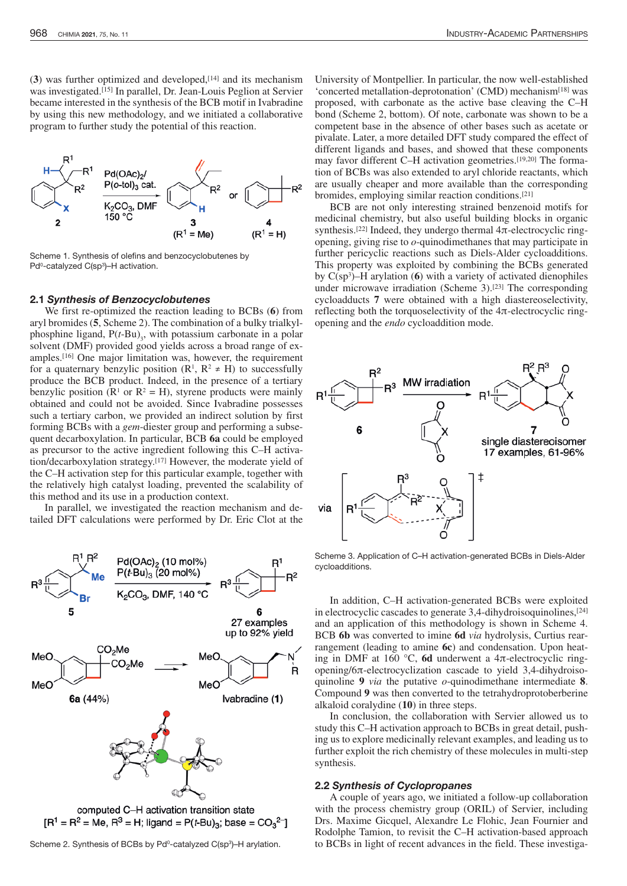(**3**) was further optimized and developed,[14] and its mechanism was investigated.[15] In parallel, Dr. Jean-Louis Peglion at Servier became interested in the synthesis of the BCB motif in Ivabradine by using this new methodology, and we initiated a collaborative program to further study the potential of this reaction.



Scheme 1. Synthesis of olefins and benzocyclobutenes by Pdº-catalyzed C(spª)–H activation.

#### 2.1 *Synthesis of Benzocyclobutenes*

We first re-optimized the reaction leading to BCBs (**6**) from aryl bromides (**5**, Scheme 2). The combination of a bulky trialkylphosphine ligand,  $P(t-Bu)_{3}$ , with potassium carbonate in a polar solvent (DMF) provided good yields across a broad range of examples.[16] One major limitation was, however, the requirement for a quaternary benzylic position  $(R^1, R^2 \neq H)$  to successfully produce the BCB product. Indeed, in the presence of a tertiary benzylic position ( $\mathbb{R}^1$  or  $\mathbb{R}^2 = \mathbb{H}$ ), styrene products were mainly obtained and could not be avoided. Since Ivabradine possesses such a tertiary carbon, we provided an indirect solution by first forming BCBs with a *gem*-diester group and performing a subsequent decarboxylation. In particular, BCB **6a** could be employed as precursor to the active ingredient following this C–H activation/decarboxylation strategy.[17] However, the moderate yield of the C–H activation step for this particular example, together with the relatively high catalyst loading, prevented the scalability of this method and its use in a production context.

In parallel, we investigated the reaction mechanism and detailed DFT calculations were performed by Dr. Eric Clot at the



computed C-H activation transition state  $[R^1 = R^2 = Me, R^3 = H;$  ligand = P(t-Bu)<sub>3</sub>; base = CO<sub>3</sub><sup>2-</sup>]

Scheme 2. Synthesis of BCBs by Pd<sup>o</sup>-catalyzed C(sp<sup>3</sup>)-H arylation.

University of Montpellier. In particular, the now well-established 'concerted metallation-deprotonation' (CMD) mechanism[18] was proposed, with carbonate as the active base cleaving the C–H bond (Scheme 2, bottom). Of note, carbonate was shown to be a competent base in the absence of other bases such as acetate or pivalate. Later, a more detailed DFT study compared the effect of different ligands and bases, and showed that these components may favor different C–H activation geometries.<sup>[19,20]</sup> The formation of BCBs was also extended to aryl chloride reactants, which are usually cheaper and more available than the corresponding bromides, employing similar reaction conditions.[21]

BCB are not only interesting strained benzenoid motifs for medicinal chemistry, but also useful building blocks in organic synthesis.<sup>[22]</sup> Indeed, they undergo thermal  $4π$ -electrocyclic ringopening, giving rise to *o*-quinodimethanes that may participate in further pericyclic reactions such as Diels-Alder cycloadditions. This property was exploited by combining the BCBs generated by  $C(sp<sup>3</sup>)$ -H arylation (6) with a variety of activated dienophiles under microwave irradiation (Scheme 3).<sup>[23]</sup> The corresponding cycloadducts **7** were obtained with a high diastereoselectivity, reflecting both the torquoselectivity of the  $4\pi$ -electrocyclic ringopening and the *endo* cycloaddition mode.



Scheme 3. Application of C–H activation-generated BCBs in Diels-Alder cycloadditions.

In addition, C–H activation-generated BCBs were exploited in electrocyclic cascades to generate 3,4-dihydroisoquinolines,[24] and an application of this methodology is shown in Scheme 4. BCB **6b** was converted to imine **6d** *via* hydrolysis, Curtius rearrangement (leading to amine **6c**) and condensation. Upon heating in DMF at 160 °C, **6d** underwent a 4π-electrocyclic ringopening/6π-electrocyclization cascade to yield 3,4-dihydroisoquinoline **9** *via* the putative *o*-quinodimethane intermediate **8**. Compound **9** was then converted to the tetrahydroprotoberberine alkaloid coralydine (**10**) in three steps.

In conclusion, the collaboration with Servier allowed us to study this C–H activation approach to BCBs in great detail, pushing us to explore medicinally relevant examples, and leading us to further exploit the rich chemistry of these molecules in multi-step synthesis.

#### 2.2 *Synthesis of Cyclopropanes*

A couple of years ago, we initiated a follow-up collaboration with the process chemistry group (ORIL) of Servier, including Drs. Maxime Gicquel, Alexandre Le Flohic, Jean Fournier and Rodolphe Tamion, to revisit the C–H activation-based approach to BCBs in light of recent advances in the field. These investiga-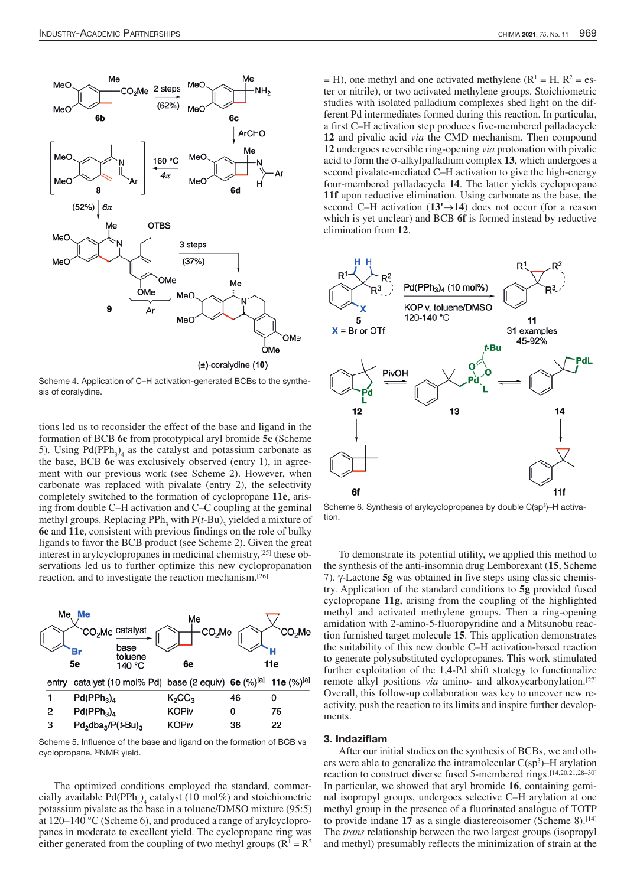

Scheme 4. Application of C–H activation-generated BCBs to the synthesis of coralydine.

tions led us to reconsider the effect of the base and ligand in the formation of BCB **6e** from prototypical aryl bromide **5e** (Scheme 5). Using  $Pd(PPh_3)_4$  as the catalyst and potassium carbonate as the base, BCB **6e** was exclusively observed (entry 1), in agreement with our previous work (see Scheme 2). However, when carbonate was replaced with pivalate (entry 2), the selectivity completely switched to the formation of cyclopropane **11e**, arising from double C–H activation and C–C coupling at the geminal methyl groups. Replacing PPh<sub>3</sub> with P(*t*-Bu)<sub>3</sub> yielded a mixture of **6e** and **11e**, consistent with previous findings on the role of bulky ligands to favor the BCB product (see Scheme 2). Given the great interest in arylcyclopropanes in medicinal chemistry,[25] these observations led us to further optimize this new cyclopropanation reaction, and to investigate the reaction mechanism.[26]



Scheme 5. Influence of the base and ligand on the formation of BCB vs cyclopropane. [a]NMR yield.

The optimized conditions employed the standard, commercially available  $Pd(PPh_3)_4$  catalyst (10 mol%) and stoichiometric potassium pivalate as the base in a toluene/DMSO mixture (95:5) at 120–140 °C (Scheme 6), and produced a range of arylcyclopropanes in moderate to excellent yield. The cyclopropane ring was either generated from the coupling of two methyl groups ( $R<sup>1</sup> = R<sup>2</sup>$ 

 $=$  H), one methyl and one activated methylene ( $R<sup>1</sup>$  = H,  $R<sup>2</sup>$  = ester or nitrile), or two activated methylene groups. Stoichiometric studies with isolated palladium complexes shed light on the different Pd intermediates formed during this reaction. In particular, a first C–H activation step produces five-membered palladacycle **12** and pivalic acid *via* the CMD mechanism. Then compound **12** undergoes reversible ring-opening *via* protonation with pivalic acid to form the σ-alkylpalladium complex **13**, which undergoes a second pivalate-mediated C–H activation to give the high-energy four-membered palladacycle **14**. The latter yields cyclopropane **11f** upon reductive elimination. Using carbonate as the base, the second C–H activation (**13'**→**14**) does not occur (for a reason which is yet unclear) and BCB **6f** is formed instead by reductive elimination from **12**.



Scheme 6. Synthesis of arylcyclopropanes by double C(sp<sup>3</sup>)-H activation.

To demonstrate its potential utility, we applied this method to the synthesis of the anti-insomnia drug Lemborexant (**15**, Scheme 7). γ-Lactone **5g** was obtained in five steps using classic chemistry. Application of the standard conditions to **5g** provided fused cyclopropane **11g**, arising from the coupling of the highlighted methyl and activated methylene groups. Then a ring-opening amidation with 2-amino-5-fluoropyridine and a Mitsunobu reaction furnished target molecule **15**. This application demonstrates the suitability of this new double C–H activation-based reaction to generate polysubstituted cyclopropanes. This work stimulated further exploitation of the 1,4-Pd shift strategy to functionalize remote alkyl positions *via* amino- and alkoxycarbonylation.<sup>[27]</sup> Overall, this follow-up collaboration was key to uncover new reactivity, push the reaction to its limits and inspire further developments.

# 3. Indaziflam

After our initial studies on the synthesis of BCBs, we and others were able to generalize the intramolecular  $C(sp^3)$ –H arylation reaction to construct diverse fused 5-membered rings.[14,20,21,28–30] In particular, we showed that aryl bromide **16**, containing geminal isopropyl groups, undergoes selective C–H arylation at one methyl group in the presence of a fluorinated analogue of TOTP to provide indane 17 as a single diastereoisomer (Scheme 8).<sup>[14]</sup> The *trans* relationship between the two largest groups (isopropyl and methyl) presumably reflects the minimization of strain at the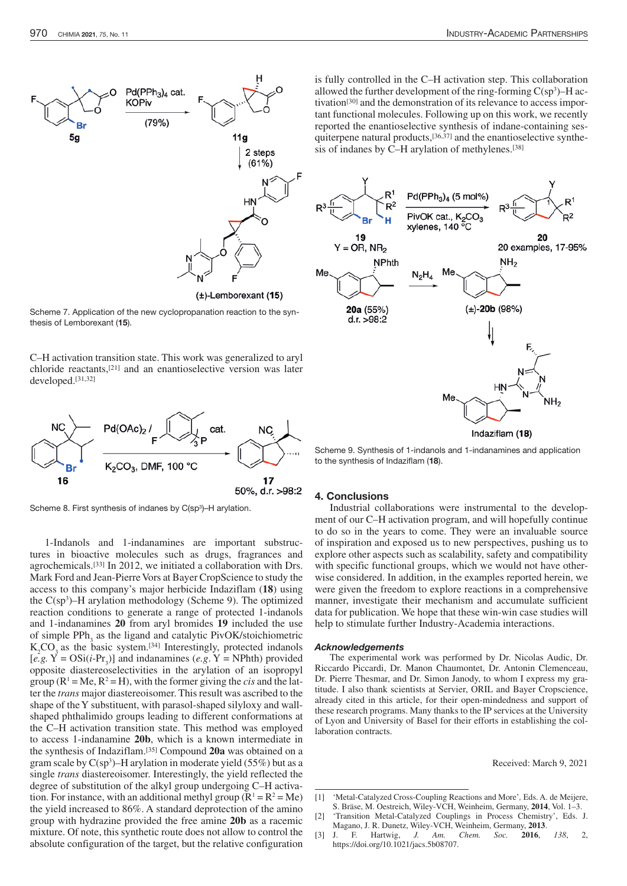

 $(\pm)$ -Lemborexant (15)

Scheme 7. Application of the new cyclopropanation reaction to the synthesis of Lemborexant (15).

C–H activation transition state. This work was generalized to aryl chloride reactants,[21] and an enantioselective version was later developed.[31,32]



Scheme 8. First synthesis of indanes by C(sp<sup>3</sup>)-H arylation.

1-Indanols and 1-indanamines are important substructures in bioactive molecules such as drugs, fragrances and agrochemicals.[33] In 2012, we initiated a collaboration with Drs. Mark Ford and Jean-Pierre Vors at Bayer CropScience to study the access to this company's major herbicide Indaziflam (**18**) using the  $C(sp^3)$ –H arylation methodology (Scheme 9). The optimized reaction conditions to generate a range of protected 1-indanols and 1-indanamines **20** from aryl bromides **19** included the use of simple  $PPh_3$  as the ligand and catalytic PivOK/stoichiometric  $K_2CO_3$  as the basic system.<sup>[34]</sup> Interestingly, protected indanols  $[e.g. \ Y = OSi(i-Pr_3)]$  and indanamines  $(e.g. \ Y = NPhth)$  provided opposite diastereoselectivities in the arylation of an isopropyl group ( $R^1$  = Me,  $R^2$  = H), with the former giving the *cis* and the latter the *trans* major diastereoisomer. This result was ascribed to the shape of the Y substituent, with parasol-shaped silyloxy and wallshaped phthalimido groups leading to different conformations at the C–H activation transition state. This method was employed to access 1-indanamine **20b**, which is a known intermediate in the synthesis of Indaziflam.[35] Compound **20a** was obtained on a gram scale by  $C(sp^3)$ –H arylation in moderate yield (55%) but as a single *trans* diastereoisomer. Interestingly, the yield reflected the degree of substitution of the alkyl group undergoing C–H activation. For instance, with an additional methyl group  $(R<sup>1</sup> = R<sup>2</sup> = Me)$ the yield increased to 86%. A standard deprotection of the amino group with hydrazine provided the free amine **20b** as a racemic mixture. Of note, this synthetic route does not allow to control the absolute configuration of the target, but the relative configuration

is fully controlled in the C–H activation step. This collaboration allowed the further development of the ring-forming  $C(sp^3)$ –H activation[30] and the demonstration of its relevance to access important functional molecules. Following up on this work, we recently reported the enantioselective synthesis of indane-containing sesquiterpene natural products,<sup>[36,37]</sup> and the enantioselective synthesis of indanes by C–H arylation of methylenes.[38]



Scheme 9. Synthesis of 1-indanols and 1-indanamines and application to the synthesis of Indaziflam (18).

### 4. Conclusions

Industrial collaborations were instrumental to the development of our C–H activation program, and will hopefully continue to do so in the years to come. They were an invaluable source of inspiration and exposed us to new perspectives, pushing us to explore other aspects such as scalability, safety and compatibility with specific functional groups, which we would not have otherwise considered. In addition, in the examples reported herein, we were given the freedom to explore reactions in a comprehensive manner, investigate their mechanism and accumulate sufficient data for publication. We hope that these win-win case studies will help to stimulate further Industry-Academia interactions.

#### *Acknowledgements*

The experimental work was performed by Dr. Nicolas Audic, Dr. Riccardo Piccardi, Dr. Manon Chaumontet, Dr. Antonin Clemenceau, Dr. Pierre Thesmar, and Dr. Simon Janody, to whom I express my gratitude. I also thank scientists at Servier, ORIL and Bayer Cropscience, already cited in this article, for their open-mindedness and support of these research programs. Many thanks to the IP services at the University of Lyon and University of Basel for their efforts in establishing the collaboration contracts.

Received: March 9, 2021

<sup>[1]</sup> 'Metal-Catalyzed Cross-Coupling Reactions and More'*,* Eds. A. de Meijere, S. Bräse, M. Oestreich, Wiley-VCH, Weinheim, Germany, **2014**, Vol. 1–3.

<sup>&#</sup>x27;Transition Metal-Catalyzed Couplings in Process Chemistry', Eds. J. Magano, J. R. Dunetz, Wiley-VCH, Weinheim, Germany, 2013.<br>J. F. Hartwig, J. Am. Chem. Soc. 2016,

<sup>[3]</sup> J. F. Hartwig, *J. Am. Chem. Soc.* **2016**, *138*, 2, https://doi.org/10.1021/jacs.5b08707.